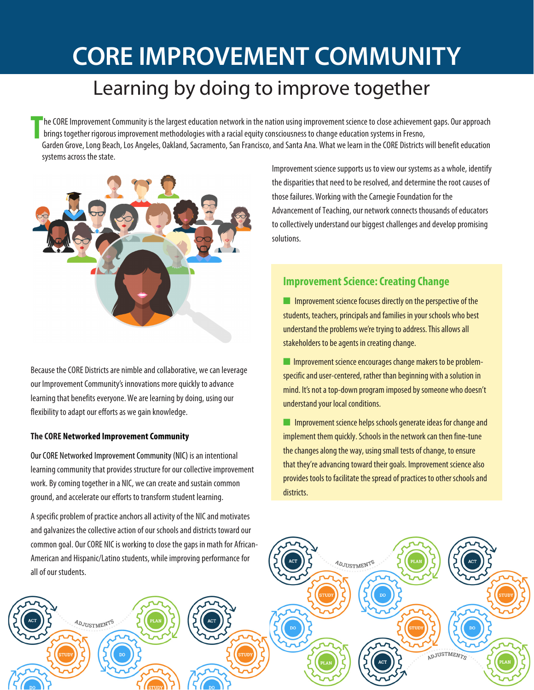# **CORE IMPROVEMENT COMMUNITY**

# Learning by doing to improve together

**T** he CORE Improvement Community is the largest education network in the nation using improvement science to close achievement gaps. Our approach brings together rigorous improvement methodologies with a racial equity consciousness to change education systems in Fresno, Garden Grove, Long Beach, Los Angeles, Oakland, Sacramento, San Francisco, and Santa Ana. What we learn in the CORE Districts will benefit education systems across the state.



Because the CORE Districts are nimble and collaborative, we can leverage our Improvement Community's innovations morequickly to advance learning that benefits everyone. We are learning by doing, using our flexibility to adapt our efforts as we gain knowledge.

#### **The CORE Networked Improvement Community**

**ADJUSTMENTS** 

Our CORE Networked Improvement Community (NIC) is an intentional learning community that provides structure for our collective improvement work. By coming together in a NIC, we can create and sustain common ground, and accelerate our efforts to transform student learning.

A specific problem of practice anchors all activity of the NIC and motivates and galvanizes the collective action of our schools and districts toward our common goal. Our CORE NIC is working to close the gaps in math for African-American and Hispanic/Latino students, while improving performance for all of our students.

Improvement science supports us to view our systems as a whole, identify the disparities that need to be resolved, and determine the root causes of those failures.Working with the Carnegie Foundation for the Advancement of Teaching, our network connects thousands of educators to collectively understand our biggest challenges and develop promising solutions.

## **Improvement Science: Creating Change**

 $\blacksquare$  Improvement science focuses directly on the perspective of the students, teachers, principals and families in your schools who best understand the problems we're trying to address. This allows all stakeholders to be agents in creating change.

**n** Improvement science encourages change makers to be problemspecific and user-centered, rather than beginning with a solution in mind. It's not a top-down program imposed by someone who doesn't understand your local conditions.

 $\blacksquare$  Improvement science helps schools generate ideas for change and implement them quickly. Schools in the network can then fine-tune the changes along the way, using small tests of change, to ensure that they're advancing toward their goals. Improvement science also provides tools to facilitate the spread of practices to other schools and districts.

ADJUSTMENTS

ADJUSTMENTS